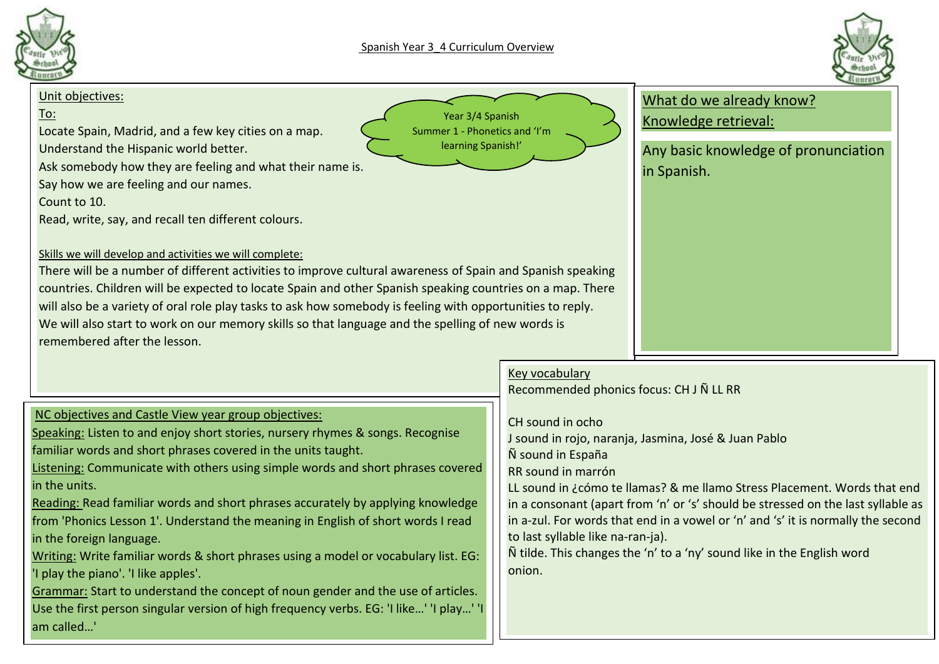



#### Unit objectives:

## To:

Locate Spain, Madrid, and a few key cities on a map.

Understand the Hispanic world better.

Ask somebody how they are feeling and what their name is.

Say how we are feeling and our names.

Count to 10.

Read, write, say, and recall ten different colours.



What do we already know? Knowledge retrieval:

Any basic knowledge of pronunciation in Spanish.

#### Skills we will develop and activities we will complete:

There will be a number of different activities to improve cultural awareness of Spain and Spanish speaking countries. Children will be expected to locate Spain and other Spanish speaking countries on a map. There will also be a variety of oral role play tasks to ask how somebody is feeling with opportunities to reply. We will also start to work on our memory skills so that language and the spelling of new words is remembered after the lesson.

### NC objectives and Castle View year group objectives:

Speaking: Listen to and enjoy short stories, nursery rhymes & songs. Recognise familiar words and short phrases covered in the units taught.

Listening: Communicate with others using simple words and short phrases covered in the units.

Reading: Read familiar words and short phrases accurately by applying knowledge from 'Phonics Lesson 1'. Understand the meaning in English of short words I read in the foreign language.

Writing: Write familiar words & short phrases using a model or vocabulary list. EG: 'I play the piano'. 'I like apples'.

Grammar: Start to understand the concept of noun gender and the use of articles. Use the first person singular version of high frequency verbs. EG: 'I like…' 'I play…' 'I am called…'

# Key vocabulary

Recommended phonics focus: CH J Ñ LL RR

### CH sound in ocho

J sound in rojo, naranja, Jasmina, José & Juan Pablo

Ñ sound in España

RR sound in marrón

LL sound in ¿cómo te llamas? & me llamo Stress Placement. Words that end in a consonant (apart from 'n' or 's' should be stressed on the last syllable as in a-zul. For words that end in a vowel or 'n' and 's' it is normally the second to last syllable like na-ran-ja).

Ñ tilde. This changes the 'n' to a 'ny' sound like in the English word onion.